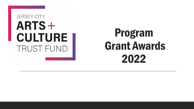### **JERSEY CITY** ARTS+ **CULTURE TRUST FUND**

# Program Grant Awards 2022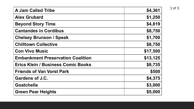| <b>A Jam Called Tribe</b>                 | \$4,361  |
|-------------------------------------------|----------|
| <b>Alex Grubard</b>                       | \$1,250  |
| <b>Beyond Story Time</b>                  | \$4,819  |
| <b>Cantandes in Cordibus</b>              | \$8,750  |
| <b>Chelsey Brunson / Speak</b>            | \$1,700  |
| <b>Chilltown Collective</b>               | \$8,750  |
| <b>Con Vivo Music</b>                     | \$17,500 |
| <b>Embankment Preservation Coalition</b>  | \$13,125 |
| <b>Erica Klein / Business Comic Books</b> | \$8,735  |
| <b>Friends of Van Vorst Park</b>          | \$500    |
| <b>Gardens of J.C.</b>                    | \$4,375  |
| <b>Goatchella</b>                         | \$3,000  |
| <b>Green Pear Heights</b>                 | \$5,000  |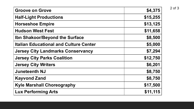| <b>Groove on Grove</b>                        | \$4,375  |
|-----------------------------------------------|----------|
| <b>Half-Light Productions</b>                 | \$15,255 |
| <b>Horseshoe Empire</b>                       | \$13,125 |
| <b>Hudson West Fest</b>                       | \$11,658 |
| <b>Ibn Shakoor/Beyond the Surface</b>         | \$8,500  |
| <b>Italian Educational and Culture Center</b> | \$5,000  |
| <b>Jersey City Landmarks Conservancy</b>      | \$7,294  |
| <b>Jersey City Parks Coalition</b>            | \$12,750 |
| <b>Jersey City Writers</b>                    | \$6,201  |
| <b>Juneteenth NJ</b>                          | \$8,750  |
| <b>Kayvond Zand</b>                           | \$8,750  |
| <b>Kyle Marshall Choreography</b>             | \$17,500 |
| <b>Lux Performing Arts</b>                    | \$11,115 |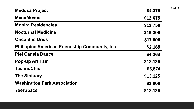| <b>Medusa Project</b>                                 | \$4,375  |
|-------------------------------------------------------|----------|
| <b>MeenMoves</b>                                      | \$12,675 |
| <b>Monira Residencies</b>                             | \$12,750 |
| <b>Nocturnal Medicine</b>                             | \$15,300 |
| <b>Once She Dries</b>                                 | \$17,500 |
| <b>Philippine American Friendship Community, Inc.</b> | \$2,188  |
| <b>Piel Canela Dance</b>                              | \$4,363  |
| <b>Pop-Up Art Fair</b>                                | \$13,125 |
| <b>TechnoChic</b>                                     | \$6,874  |
| <b>The Statuary</b>                                   | \$13,125 |
| <b>Washington Park Association</b>                    | \$3,000  |
| <b>YeerSpace</b>                                      | \$13,125 |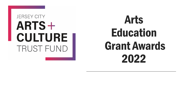#### **JERSEY CITY** ARTS+ **CULTURE TRUST FUND**

# Arts Education Grant Awards 2022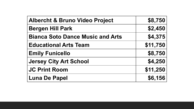| <b>Albercht &amp; Bruno Video Project</b> | \$8,750  |
|-------------------------------------------|----------|
| <b>Bergen Hill Park</b>                   | \$2,450  |
| <b>Bianca Soto Dance Music and Arts</b>   | \$4,375  |
| <b>Educational Arts Team</b>              | \$11,750 |
| <b>Emily Funicello</b>                    | \$8,750  |
| <b>Jersey City Art School</b>             | \$4,250  |
| <b>JC Print Room</b>                      | \$11,250 |
| <b>Luna De Papel</b>                      | \$6,156  |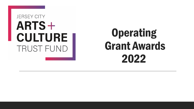### **JERSEY CITY** ARTS+ **CULTURE TRUST FUND**

# **Operating** Grant Awards 2022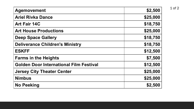| <b>Agemovement</b>                             | \$2,500  |
|------------------------------------------------|----------|
| <b>Ariel Rivka Dance</b>                       | \$25,000 |
| <b>Art Fair 14C</b>                            | \$18,750 |
| <b>Art House Productions</b>                   | \$25,000 |
| <b>Deep Space Gallery</b>                      | \$18,750 |
| <b>Deliverance Children's Ministry</b>         | \$18,750 |
| <b>ESKFF</b>                                   | \$12,500 |
| <b>Farms in the Heights</b>                    | \$7,500  |
| <b>Golden Door International Film Festival</b> | \$12,500 |
| <b>Jersey City Theater Center</b>              | \$25,000 |
| <b>Nimbus</b>                                  | \$25,000 |
| <b>No Peeking</b>                              | \$2,500  |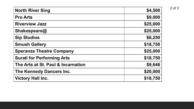| <b>North River Sing</b>            | \$4,500  |
|------------------------------------|----------|
| <b>Pro Arts</b>                    | \$9,000  |
| <b>Riverview Jazz</b>              | \$25,000 |
| Shakespeare@                       | \$25,000 |
| <b>Sip Studios</b>                 | \$6,250  |
| <b>Smush Gallery</b>               | \$18,750 |
| <b>Speranza Theatre Company</b>    | \$25,000 |
| <b>Surati for Performing Arts</b>  | \$18,750 |
| The Arts at St. Paul & Incarnation | \$9,646  |
| <b>The Kennedy Dancers Inc.</b>    | \$20,000 |
| <b>Victory Hall Inc.</b>           | \$18,750 |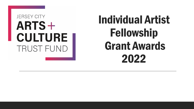### **JERSEY CITY**  $ARTS +$ **CULTURE TRUST FUND**

# Individual Artist Fellowship Grant Awards 2022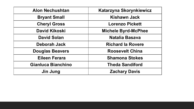| <b>Alon Nechushtan</b> | Katarzyna Skorynkiewicz    |
|------------------------|----------------------------|
| <b>Bryant Small</b>    | Kishawn Jack               |
| <b>Cheryl Gross</b>    | <b>Lorenzo Pickett</b>     |
| <b>David Kikoski</b>   | <b>Michele Byrd-McPhee</b> |
| <b>David Solan</b>     | Natalia Basava             |
| Deborah Jack           | <b>Richard la Rovere</b>   |
| <b>Douglas Beavers</b> | <b>Roosevelt China</b>     |
| <b>Eileen Ferara</b>   | <b>Shamona Stokes</b>      |
| Gianluca Bianchino     | <b>Theda Sandiford</b>     |
| Jin Jung               | <b>Zachary Davis</b>       |